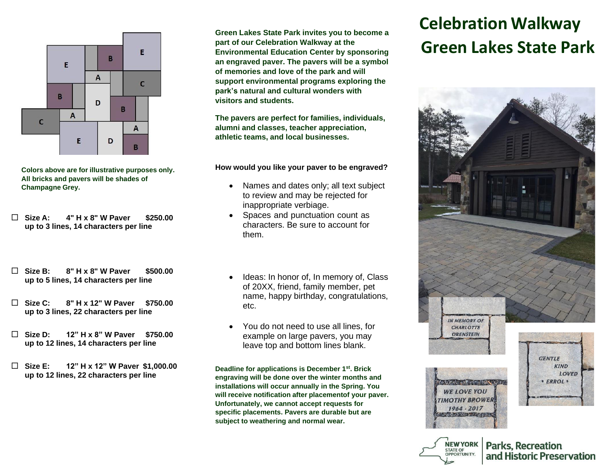

**Colors above are for illustrative purposes only. All bricks and pavers will be shades of Champagne Grey.**

- **Size A: 4" H x 8" W Paver \$250.00 up to 3 lines, 14 characters per line**
- **Size B: 8" H x 8" W Paver \$500.00 up to 5 lines, 14 characters per line**
- **Size C: 8" H x 12" W Paver \$750.00 up to 3 lines, 22 characters per line**
- **Size D: 12" H x 8" W Paver \$750.00 up to 12 lines, 14 characters per line**
- **Size E: 12" H x 12" W Paver \$1,000.00 up to 12 lines, 22 characters per line**

**Green Lakes State Park invites you to become a part of our Celebration Walkway at the Environmental Education Center by sponsoring an engraved paver. The pavers will be a symbol of memories and love of the park and will support environmental programs exploring the park's natural and cultural wonders with visitors and students.**

**The pavers are perfect for families, individuals, alumni and classes, teacher appreciation, athletic teams, and local businesses.**

**How would you like your paver to be engraved?**

- Names and dates only; all text subject to review and may be rejected for inappropriate verbiage.
- Spaces and punctuation count as characters. Be sure to account for them.
- Ideas: In honor of, In memory of, Class of 20XX, friend, family member, pet name, happy birthday, congratulations, etc.
- You do not need to use all lines, for example on large pavers, you may leave top and bottom lines blank.

**Deadline for applications is December 1st. Brick engraving will be done over the winter months and installations will occur annually in the Spring. You will receive notification after placementof your paver. Unfortunately, we cannot accept requests for specific placements. Pavers are durable but are subject to weathering and normal wear.** 

## **Celebration Walkway Green Lakes State Park**



and Historic Preservation